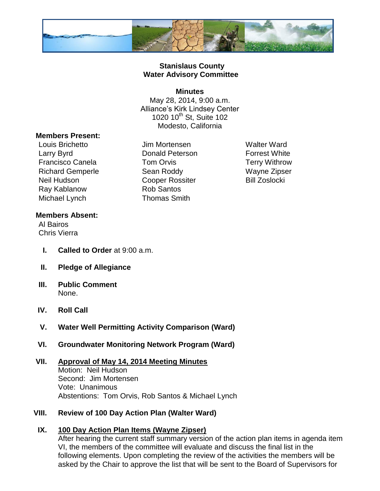

### **Stanislaus County Water Advisory Committee**

#### **Minutes**

May 28, 2014, 9:00 a.m. Alliance's Kirk Lindsey Center 1020 10<sup>th</sup> St, Suite 102 Modesto, California

#### **Members Present:**

Louis Brichetto Jim Mortensen Walter Ward Larry Byrd **Donald Peterson** Forrest White Francisco Canela **Tom Orvis** Terry Withrow Richard Gemperle Sean Roddy Wayne Zipser Neil Hudson **Cooper Rossiter** Bill Zoslocki Ray Kablanow **Rob Santos** Michael Lynch Thomas Smith

### **Members Absent:**

Al Bairos Chris Vierra

- **I. Called to Order** at 9:00 a.m.
- **II. Pledge of Allegiance**
- **III. Public Comment** None.
- **IV. Roll Call**
- **V. Water Well Permitting Activity Comparison (Ward)**
- **VI. Groundwater Monitoring Network Program (Ward)**

#### **VII. Approval of May 14, 2014 Meeting Minutes** Motion: Neil Hudson Second: Jim Mortensen Vote: Unanimous Abstentions: Tom Orvis, Rob Santos & Michael Lynch

## **VIII. Review of 100 Day Action Plan (Walter Ward)**

## **IX. 100 Day Action Plan Items (Wayne Zipser)**

After hearing the current staff summary version of the action plan items in agenda item VI, the members of the committee will evaluate and discuss the final list in the following elements. Upon completing the review of the activities the members will be asked by the Chair to approve the list that will be sent to the Board of Supervisors for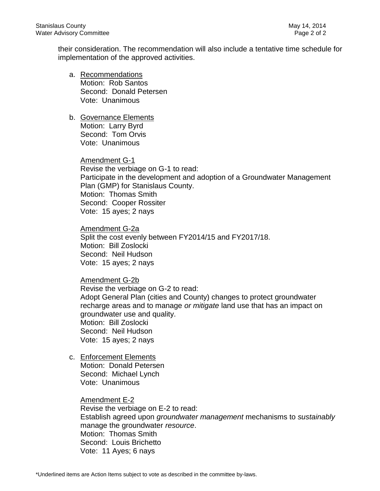their consideration. The recommendation will also include a tentative time schedule for implementation of the approved activities.

- a. Recommendations Motion: Rob Santos Second: Donald Petersen Vote: Unanimous
- b. Governance Elements Motion: Larry Byrd Second: Tom Orvis Vote: Unanimous

Amendment G-1 Revise the verbiage on G-1 to read: Participate in the development and adoption of a Groundwater Management Plan (GMP) for Stanislaus County. Motion: Thomas Smith Second: Cooper Rossiter Vote: 15 ayes; 2 nays

Amendment G-2a Split the cost evenly between FY2014/15 and FY2017/18. Motion: Bill Zoslocki Second: Neil Hudson Vote: 15 ayes; 2 nays

Amendment G-2b Revise the verbiage on G-2 to read: Adopt General Plan (cities and County) changes to protect groundwater recharge areas and to manage *or mitigate* land use that has an impact on groundwater use and quality. Motion: Bill Zoslocki Second: Neil Hudson Vote: 15 ayes; 2 nays

c. Enforcement Elements Motion: Donald Petersen Second: Michael Lynch Vote: Unanimous

> Amendment E-2 Revise the verbiage on E-2 to read: Establish agreed upon *groundwater management* mechanisms to *sustainably* manage the groundwater *resource*. Motion: Thomas Smith Second: Louis Brichetto Vote: 11 Ayes; 6 nays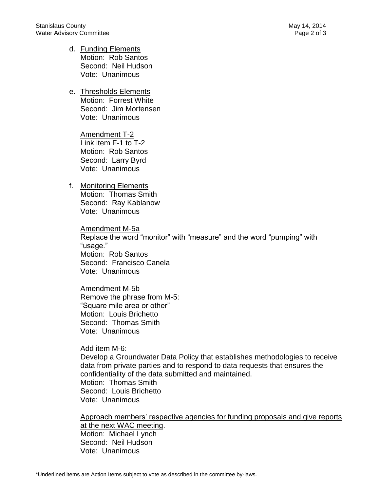- d. Funding Elements Motion: Rob Santos Second: Neil Hudson Vote: Unanimous
- e. Thresholds Elements Motion: Forrest White Second: Jim Mortensen Vote: Unanimous

Amendment T-2 Link item F-1 to T-2 Motion: Rob Santos Second: Larry Byrd Vote: Unanimous

## f. Monitoring Elements

Motion: Thomas Smith Second: Ray Kablanow Vote: Unanimous

Amendment M-5a Replace the word "monitor" with "measure" and the word "pumping" with "usage." Motion: Rob Santos Second: Francisco Canela Vote: Unanimous

Amendment M-5b Remove the phrase from M-5: "Square mile area or other" Motion: Louis Brichetto Second: Thomas Smith Vote: Unanimous

#### Add item M-6:

Develop a Groundwater Data Policy that establishes methodologies to receive data from private parties and to respond to data requests that ensures the confidentiality of the data submitted and maintained. Motion: Thomas Smith Second: Louis Brichetto Vote: Unanimous

Approach members' respective agencies for funding proposals and give reports at the next WAC meeting. Motion: Michael Lynch Second: Neil Hudson Vote: Unanimous